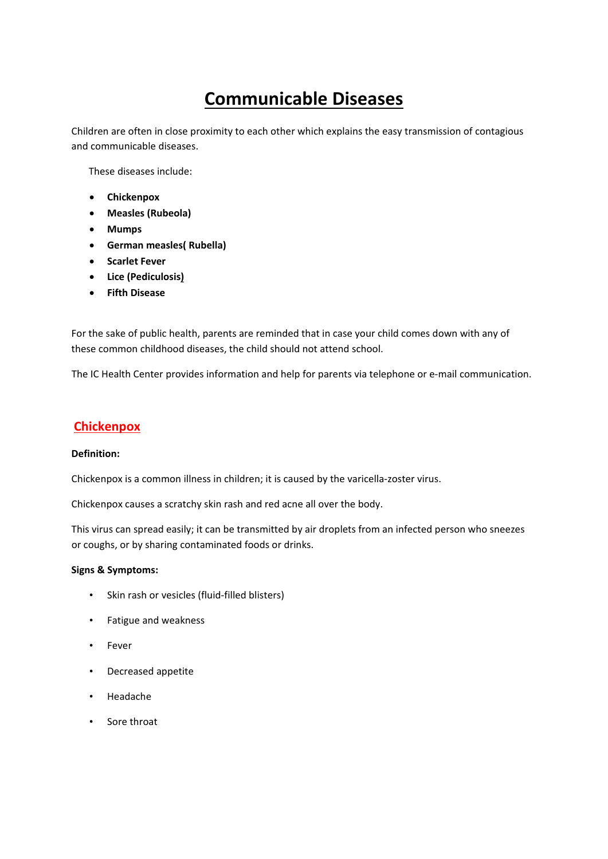# **Communicable Diseases**

Children are often in close proximity to each other which explains the easy transmission of contagious and communicable diseases.

These diseases include:

- **Chickenpox**
- **Measles (Rubeola)**
- **Mumps**
- **German measles( Rubella)**
- **Scarlet Fever**
- **Lice (Pediculosis)**
- **Fifth Disease**

For the sake of public health, parents are reminded that in case your child comes down with any of these common childhood diseases, the child should not attend school.

The IC Health Center provides information and help for parents via telephone or e-mail communication.

# **Chickenpox**

# **Definition:**

Chickenpox is a common illness in children; it is caused by the varicella‐zoster virus.

Chickenpox causes a scratchy skin rash and red acne all over the body.

This virus can spread easily; it can be transmitted by air droplets from an infected person who sneezes or coughs, or by sharing contaminated foods or drinks.

# **Signs & Symptoms:**

- Skin rash or vesicles (fluid-filled blisters)
- Fatigue and weakness
- Fever
- Decreased appetite
- Headache
- Sore throat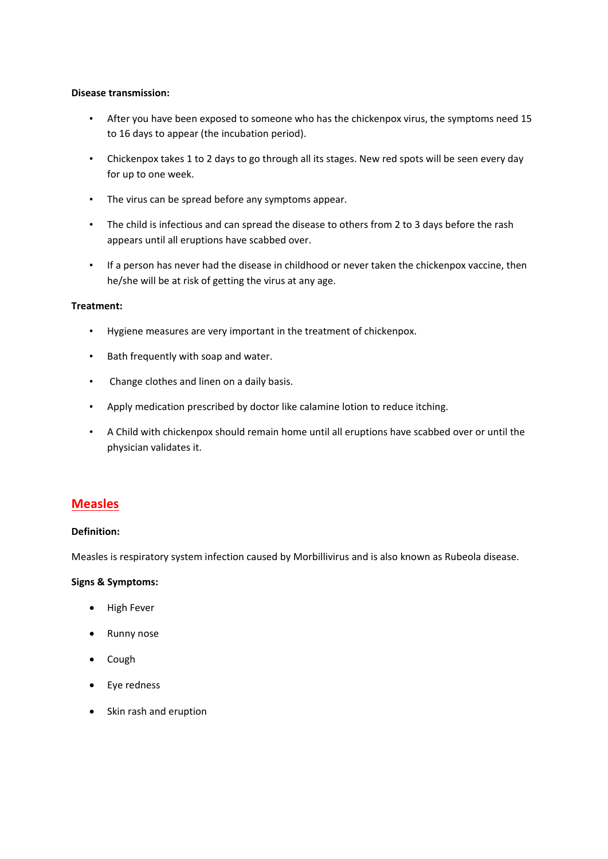## **Disease transmission:**

- After you have been exposed to someone who has the chickenpox virus, the symptoms need 15 to 16 days to appear (the incubation period).
- Chickenpox takes 1 to 2 days to go through all its stages. New red spots will be seen every day for up to one week.
- The virus can be spread before any symptoms appear.
- The child is infectious and can spread the disease to others from 2 to 3 days before the rash appears until all eruptions have scabbed over.
- If a person has never had the disease in childhood or never taken the chickenpox vaccine, then he/she will be at risk of getting the virus at any age.

## **Treatment:**

- Hygiene measures are very important in the treatment of chickenpox.
- Bath frequently with soap and water.
- Change clothes and linen on a daily basis.
- Apply medication prescribed by doctor like calamine lotion to reduce itching.
- A Child with chickenpox should remain home until all eruptions have scabbed over or until the physician validates it.

# **Measles**

# **Definition:**

Measles is respiratory system infection caused by Morbillivirus and is also known as Rubeola disease.

#### **Signs & Symptoms:**

- High Fever
- Runny nose
- Cough
- Eye redness
- Skin rash and eruption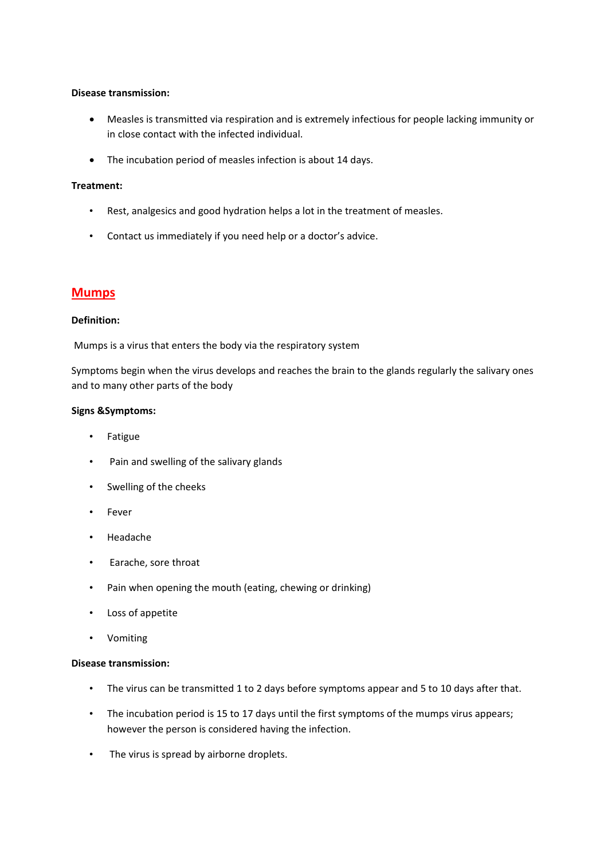## **Disease transmission:**

- Measles is transmitted via respiration and is extremely infectious for people lacking immunity or in close contact with the infected individual.
- The incubation period of measles infection is about 14 days.

## **Treatment:**

- Rest, analgesics and good hydration helps a lot in the treatment of measles.
- Contact us immediately if you need help or a doctor's advice.

# **Mumps**

#### **Definition:**

Mumps is a virus that enters the body via the respiratory system

Symptoms begin when the virus develops and reaches the brain to the glands regularly the salivary ones and to many other parts of the body

#### **Signs &Symptoms:**

- Fatigue
- Pain and swelling of the salivary glands
- Swelling of the cheeks
- Fever
- Headache
- Earache, sore throat
- Pain when opening the mouth (eating, chewing or drinking)
- Loss of appetite
- Vomiting

#### **Disease transmission:**

- The virus can be transmitted 1 to 2 days before symptoms appear and 5 to 10 days after that.
- The incubation period is 15 to 17 days until the first symptoms of the mumps virus appears; however the person is considered having the infection.
- The virus is spread by airborne droplets.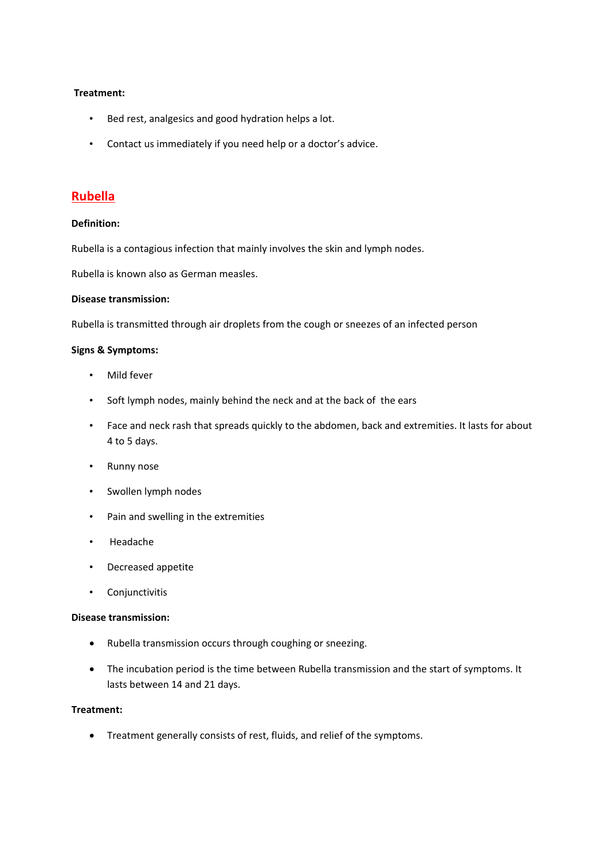#### **Treatment:**

- Bed rest, analgesics and good hydration helps a lot.
- Contact us immediately if you need help or a doctor's advice.

# **Rubella**

#### **Definition:**

Rubella is a contagious infection that mainly involves the skin and lymph nodes.

Rubella is known also as German measles.

# **Disease transmission:**

Rubella is transmitted through air droplets from the cough or sneezes of an infected person

#### **Signs & Symptoms:**

- Mild fever
- Soft lymph nodes, mainly behind the neck and at the back of the ears
- Face and neck rash that spreads quickly to the abdomen, back and extremities. It lasts for about 4 to 5 days.
- Runny nose
- Swollen lymph nodes
- Pain and swelling in the extremities
- Headache
- Decreased appetite
- Conjunctivitis

#### **Disease transmission:**

- Rubella transmission occurs through coughing or sneezing.
- The incubation period is the time between Rubella transmission and the start of symptoms. It lasts between 14 and 21 days.

# **Treatment:**

Treatment generally consists of rest, fluids, and relief of the symptoms.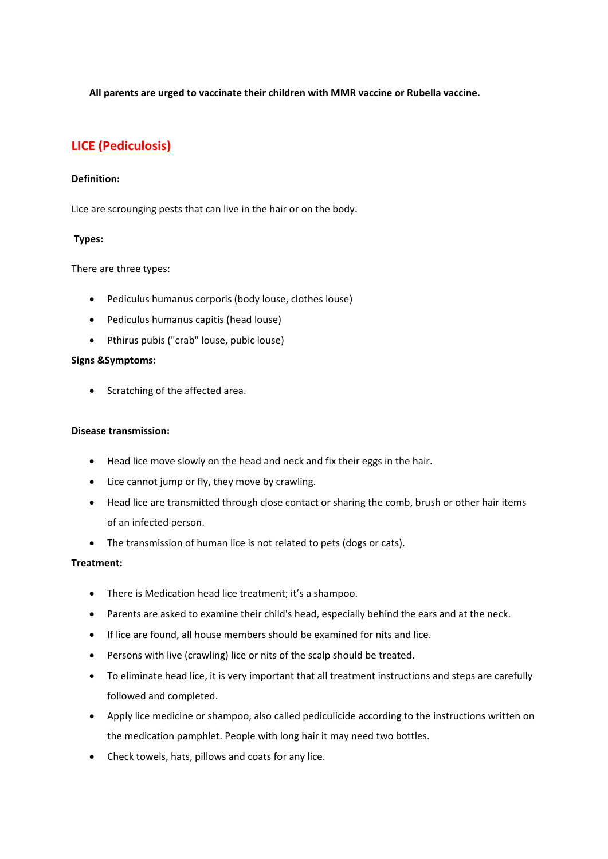**All parents are urged to vaccinate their children with MMR vaccine or Rubella vaccine.**

# **LICE (Pediculosis)**

# **Definition:**

Lice are scrounging pests that can live in the hair or on the body.

# **Types:**

There are three types:

- Pediculus humanus corporis (body louse, clothes louse)
- Pediculus humanus capitis (head louse)
- Pthirus pubis ("crab" louse, pubic louse)

#### **Signs &Symptoms:**

• Scratching of the affected area.

## **Disease transmission:**

- Head lice move slowly on the head and neck and fix their eggs in the hair.
- Lice cannot jump or fly, they move by crawling.
- Head lice are transmitted through close contact or sharing the comb, brush or other hair items of an infected person.
- The transmission of human lice is not related to pets (dogs or cats).

# **Treatment:**

- There is Medication head lice treatment; it's a shampoo.
- Parents are asked to examine their child's head, especially behind the ears and at the neck.
- If lice are found, all house members should be examined for nits and lice.
- Persons with live (crawling) lice or nits of the scalp should be treated.
- To eliminate head lice, it is very important that all treatment instructions and steps are carefully followed and completed.
- Apply lice medicine or shampoo, also called pediculicide according to the instructions written on the medication pamphlet. People with long hair it may need two bottles.
- Check towels, hats, pillows and coats for any lice.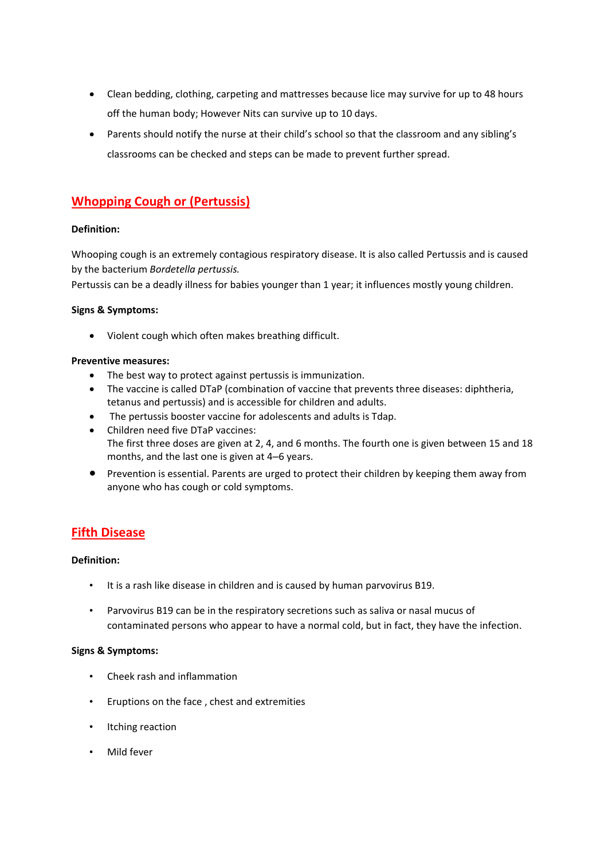- Clean bedding, clothing, carpeting and mattresses because lice may survive for up to 48 hours off the human body; However Nits can survive up to 10 days.
- Parents should notify the nurse at their child's school so that the classroom and any sibling's classrooms can be checked and steps can be made to prevent further spread.

# **Whopping Cough or (Pertussis)**

# **Definition:**

Whooping cough is an extremely contagious respiratory disease. It is also called Pertussis and is caused by the bacterium *Bordetella pertussis.*

Pertussis can be a deadly illness for babies younger than 1 year; it influences mostly young children.

# **Signs & Symptoms:**

Violent cough which often makes breathing difficult.

# **Preventive measures:**

- The best way to protect against pertussis is immunization.
- The vaccine is called DTaP (combination of vaccine that prevents three diseases: diphtheria, tetanus and pertussis) and is accessible for children and adults.
- The pertussis booster vaccine for adolescents and adults is Tdap.
- Children need five DTaP vaccines: The first three doses are given at 2, 4, and 6 months. The fourth one is given between 15 and 18 months, and the last one is given at 4–6 years.
- Prevention is essential. Parents are urged to protect their children by keeping them away from anyone who has cough or cold symptoms.

# **Fifth Disease**

# **Definition:**

- It is a rash like disease in children and is caused by human parvovirus B19.
- Parvovirus B19 can be in the respiratory secretions such as saliva or nasal mucus of contaminated persons who appear to have a normal cold, but in fact, they have the infection.

# **Signs & Symptoms:**

- Cheek rash and inflammation
- Eruptions on the face , chest and extremities
- Itching reaction
- Mild fever